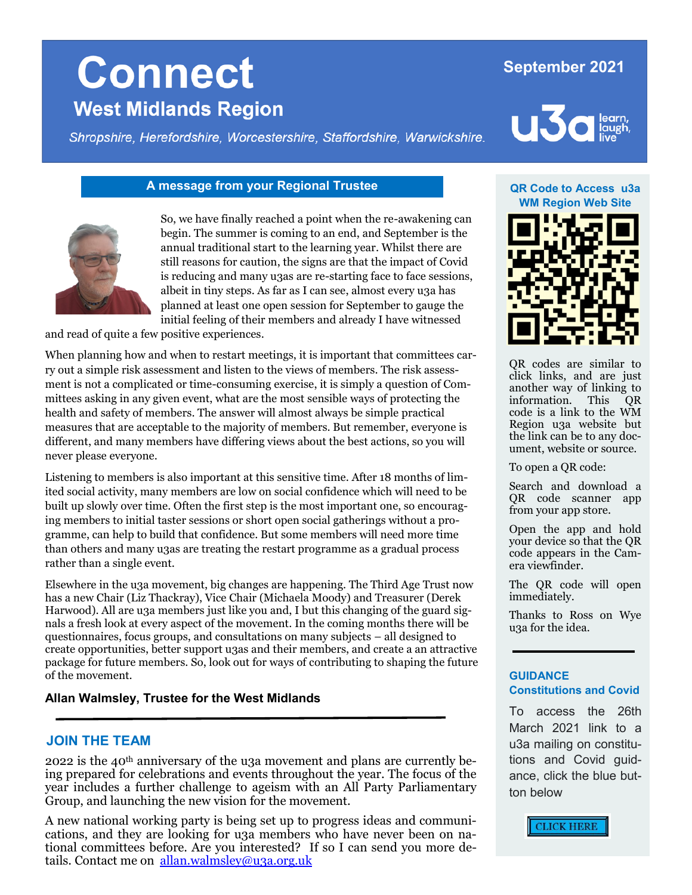### **September 2021**

**u3** 

# **Connect West Midlands Region**

Shropshire, Herefordshire, Worcestershire, Staffordshire, Warwickshire.



#### **A message from your Regional Trustee <b>Access** use **QR** Code to Access use



So, we have finally reached a point when the re-awakening can begin. The summer is coming to an end, and September is the annual traditional start to the learning year. Whilst there are still reasons for caution, the signs are that the impact of Covid is reducing and many u3as are re-starting face to face sessions, albeit in tiny steps. As far as I can see, almost every u3a has planned at least one open session for September to gauge the initial feeling of their members and already I have witnessed

and read of quite a few positive experiences.

When planning how and when to restart meetings, it is important that committees carry out a simple risk assessment and listen to the views of members. The risk assessment is not a complicated or time-consuming exercise, it is simply a question of Committees asking in any given event, what are the most sensible ways of protecting the health and safety of members. The answer will almost always be simple practical measures that are acceptable to the majority of members. But remember, everyone is different, and many members have differing views about the best actions, so you will never please everyone.

Listening to members is also important at this sensitive time. After 18 months of limited social activity, many members are low on social confidence which will need to be built up slowly over time. Often the first step is the most important one, so encouraging members to initial taster sessions or short open social gatherings without a programme, can help to build that confidence. But some members will need more time than others and many u3as are treating the restart programme as a gradual process rather than a single event.

Elsewhere in the u3a movement, big changes are happening. The Third Age Trust now has a new Chair (Liz Thackray), Vice Chair (Michaela Moody) and Treasurer (Derek Harwood). All are u3a members just like you and, I but this changing of the guard signals a fresh look at every aspect of the movement. In the coming months there will be questionnaires, focus groups, and consultations on many subjects – all designed to create opportunities, better support u3as and their members, and create a an attractive package for future members. So, look out for ways of contributing to shaping the future of the movement.

#### **Allan Walmsley, Trustee for the West Midlands**

#### **JOIN THE TEAM**

2022 is the 40<sup>th</sup> anniversary of the u3a movement and plans are currently being prepared for celebrations and events throughout the year. The focus of the year includes a further challenge to ageism with an All Party Parliamentary Group, and launching the new vision for the movement.

A new national working party is being set up to progress ideas and communications, and they are looking for u3a members who have never been on national committees before. Are you interested? If so I can send you more details. Contact me on [allan.walmsley@u3a.org.uk](mailto:allan.walmsley@u3a.org.uk)

# **WM Region Web Site**



QR codes are similar to click links, and are just another way of linking to<br>information. This OR information. This code is a link to the WM Region u3a website but the link can be to any document, website or source.

To open a QR code:

Search and download a QR code scanner app from your app store.

Open the app and hold your device so that the QR code appears in the Camera viewfinder.

The QR code will open immediately.

Thanks to Ross on Wye u3a for the idea.

#### **GUIDANCE Constitutions and Covid**

To access the 26th March 2021 link to a u3a mailing on constitutions and Covid guidance, click the blue button below

CLICK HERE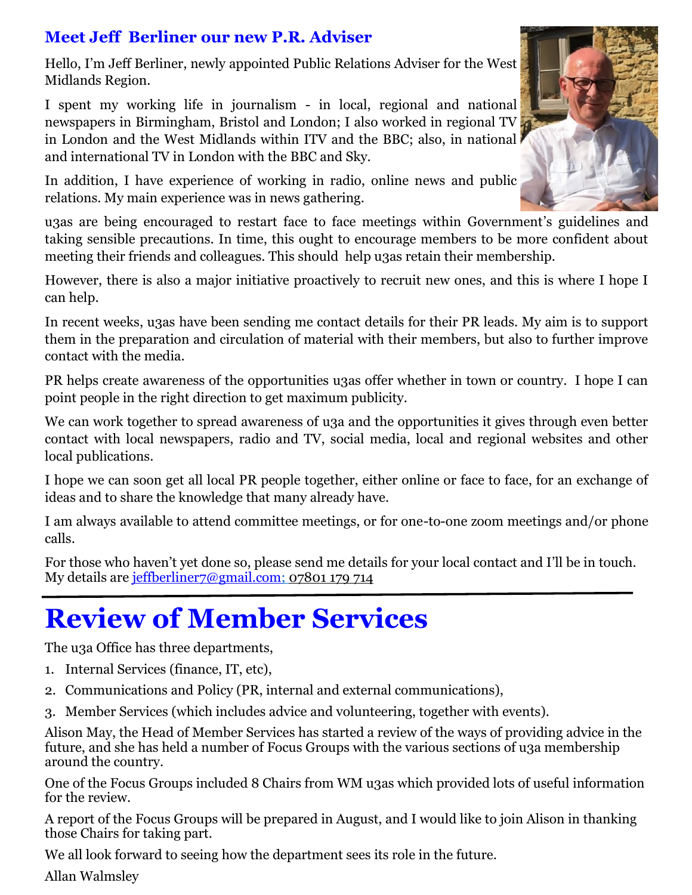## **Meet Jeff Berliner our new P.R. Adviser**

Hello, I'm Jeff Berliner, newly appointed Public Relations Adviser for the West Midlands Region.

I spent my working life in journalism - in local, regional and national newspapers in Birmingham, Bristol and London; I also worked in regional TV in London and the West Midlands within ITV and the BBC; also, in national and international TV in London with the BBC and Sky.

In addition, I have experience of working in radio, online news and public relations. My main experience was in news gathering.

u3as are being encouraged to restart face to face meetings within Government's guidelines and taking sensible precautions. In time, this ought to encourage members to be more confident about meeting their friends and colleagues. This should help u3as retain their membership.

However, there is also a major initiative proactively to recruit new ones, and this is where I hope I can help.

In recent weeks, u3as have been sending me contact details for their PR leads. My aim is to support them in the preparation and circulation of material with their members, but also to further improve contact with the media.

PR helps create awareness of the opportunities u3as offer whether in town or country. I hope I can point people in the right direction to get maximum publicity.

We can work together to spread awareness of u3a and the opportunities it gives through even better contact with local newspapers, radio and TV, social media, local and regional websites and other local publications.

I hope we can soon get all local PR people together, either online or face to face, for an exchange of ideas and to share the knowledge that many already have.

I am always available to attend committee meetings, or for one-to-one zoom meetings and/or phone calls.

For those who haven't yet done so, please send me details for your local contact and I'll be in touch. My details are [jeffberliner7@gmail.com;](mailto:jeffberliner7@gmail.com) 07801 179 714

# **Review of Member Services**

The u3a Office has three departments,

- 1. Internal Services (finance, IT, etc),
- 2. Communications and Policy (PR, internal and external communications),
- 3. Member Services (which includes advice and volunteering, together with events).

Alison May, the Head of Member Services has started a review of the ways of providing advice in the future, and she has held a number of Focus Groups with the various sections of u3a membership around the country.

One of the Focus Groups included 8 Chairs from WM u3as which provided lots of useful information for the review.

A report of the Focus Groups will be prepared in August, and I would like to join Alison in thanking those Chairs for taking part.

We all look forward to seeing how the department sees its role in the future.

Allan Walmsley

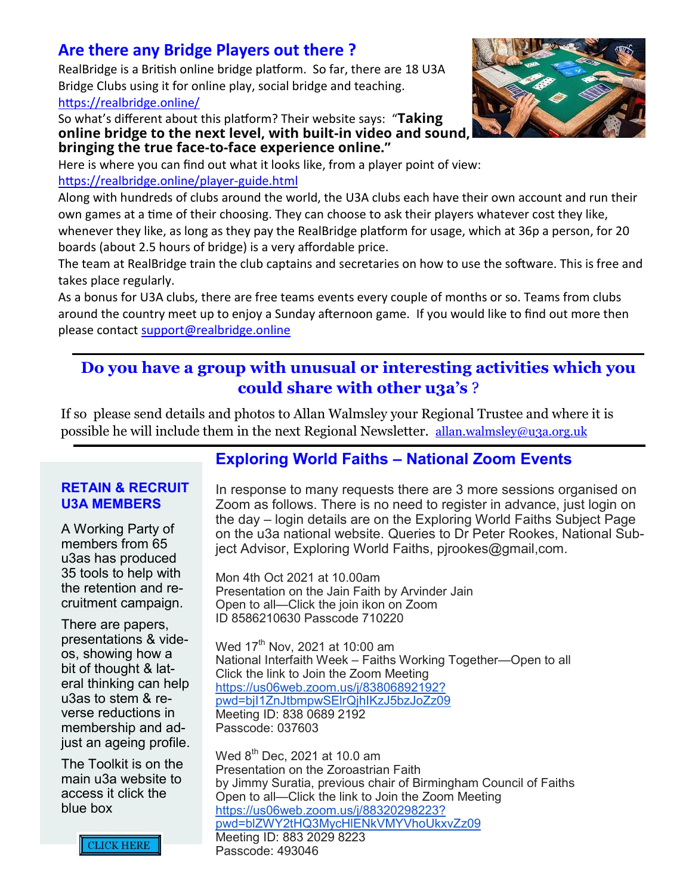## **Are there any Bridge Players out there ?**

RealBridge is a British online bridge platform. So far, there are 18 U3A Bridge Clubs using it for online play, social bridge and teaching. [https://realbridge.online/](https://eur02.safelinks.protection.outlook.com/?url=https%3A%2F%2Frealbridge.online%2F&data=04%7C01%7Cdatabase%40u3a.org.uk%7C0089a0ac85f24f2415b008d956cc52d4%7C8ba44ae7c27743f69ffd1eeac5a8c804%7C0%7C0%7C637636257839485523%7CUnknown%7CTWFpbGZsb3d8eyJWIjoiMC4w)

So what's different about this platform? Their website says: "**Taking online bridge to the next level, with built-in video and sound, bringing the true face-to-face experience online."**

Here is where you can find out what it looks like, from a player point of view: [https://realbridge.online/player](https://eur02.safelinks.protection.outlook.com/?url=https%3A%2F%2Frealbridge.online%2Fplayer-guide.html&data=04%7C01%7Cdatabase%40u3a.org.uk%7C0089a0ac85f24f2415b008d956cc52d4%7C8ba44ae7c27743f69ffd1eeac5a8c804%7C0%7C0%7C637636257839495479%7CUnknown%7CTWFpbGZ)-guide.html

Along with hundreds of clubs around the world, the U3A clubs each have their own account and run their own games at a time of their choosing. They can choose to ask their players whatever cost they like, whenever they like, as long as they pay the RealBridge platform for usage, which at 36p a person, for 20 boards (about 2.5 hours of bridge) is a very affordable price.

The team at RealBridge train the club captains and secretaries on how to use the software. This is free and takes place regularly.

As a bonus for U3A clubs, there are free teams events every couple of months or so. Teams from clubs around the country meet up to enjoy a Sunday afternoon game. If you would like to find out more then please contact [support@realbridge.online](mailto:support@realbridge.online)

## **Do you have a group with unusual or interesting activities which you could share with other u3a's** ?

If so please send details and photos to Allan Walmsley your Regional Trustee and where it is possible he will include them in the next Regional Newsletter. [allan.walmsley@u3a.org.uk](mailto:allan.walmsley@u3a.org.uk)

#### **RETAIN & RECRUIT U3A MEMBERS**

A Working Party of members from 65 u3as has produced 35 tools to help with the retention and recruitment campaign.

There are papers, presentations & videos, showing how a bit of thought & lateral thinking can help u3as to stem & reverse reductions in membership and adjust an ageing profile.

The Toolkit is on the main u3a website to access it click the blue box

## **Exploring World Faiths – National Zoom Events**

In response to many requests there are 3 more sessions organised on Zoom as follows. There is no need to register in advance, just login on the day – login details are on the Exploring World Faiths Subject Page on the u3a national website. Queries to Dr Peter Rookes, National Subject Advisor, Exploring World Faiths, pjrookes@gmail,com.

Mon 4th Oct 2021 at 10.00am Presentation on the Jain Faith by Arvinder Jain Open to all—Click the join ikon on Zoom ID 8586210630 Passcode 710220

Wed 17<sup>th</sup> Nov, 2021 at 10:00 am National Interfaith Week – Faiths Working Together—Open to all Click the link to Join the Zoom Meeting [https://us06web.zoom.us/j/83806892192?](https://us06web.zoom.us/j/83806892192?pwd=bjI1ZnJtbmpwSElrQjhIKzJ5bzJoZz09) [pwd=bjI1ZnJtbmpwSElrQjhIKzJ5bzJoZz09](https://us06web.zoom.us/j/83806892192?pwd=bjI1ZnJtbmpwSElrQjhIKzJ5bzJoZz09) Meeting ID: 838 0689 2192 Passcode: 037603

Wed 8<sup>th</sup> Dec, 2021 at 10.0 am Presentation on the Zoroastrian Faith by Jimmy Suratia, previous chair of Birmingham Council of Faiths Open to all—Click the link to Join the Zoom Meeting [https://us06web.zoom.us/j/88320298223?](https://us06web.zoom.us/j/88320298223?pwd=blZWY2tHQ3MycHlENkVMYVhoUkxvZz09) [pwd=blZWY2tHQ3MycHlENkVMYVhoUkxvZz09](https://us06web.zoom.us/j/88320298223?pwd=blZWY2tHQ3MycHlENkVMYVhoUkxvZz09) Meeting ID: 883 2029 8223 Passcode: 493046



**CLICK HERE**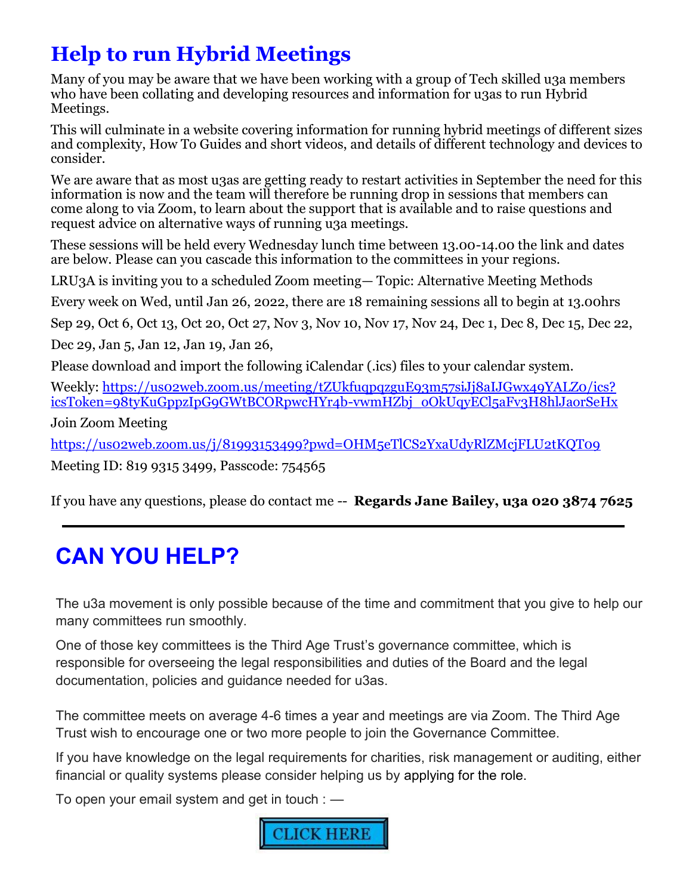# **Help to run Hybrid Meetings**

Many of you may be aware that we have been working with a group of Tech skilled u3a members who have been collating and developing resources and information for u3as to run Hybrid Meetings.

This will culminate in a website covering information for running hybrid meetings of different sizes and complexity, How To Guides and short videos, and details of different technology and devices to consider.

We are aware that as most u3as are getting ready to restart activities in September the need for this information is now and the team will therefore be running drop in sessions that members can come along to via Zoom, to learn about the support that is available and to raise questions and request advice on alternative ways of running u<sub>3</sub>a meetings.

These sessions will be held every Wednesday lunch time between 13.00-14.00 the link and dates are below. Please can you cascade this information to the committees in your regions.

LRU3A is inviting you to a scheduled Zoom meeting— Topic: Alternative Meeting Methods

Every week on Wed, until Jan 26, 2022, there are 18 remaining sessions all to begin at 13.00hrs

Sep 29, Oct 6, Oct 13, Oct 20, Oct 27, Nov 3, Nov 10, Nov 17, Nov 24, Dec 1, Dec 8, Dec 15, Dec 22,

Dec 29, Jan 5, Jan 12, Jan 19, Jan 26,

Please download and import the following iCalendar (.ics) files to your calendar system.

Weekly: [https://us02web.zoom.us/meeting/tZUkfuqpqzguE93m57siJj8aIJGwx49YALZ0/ics?](https://us02web.zoom.us/meeting/tZUkfuqpqzguE93m57siJj8aIJGwx49YALZ0/ics?icsToken=98tyKuGppzIpG9GWtBCORpwcHYr4b-vwmHZbj_oOkUqyECl5aFv3H8hlJaorSeHx) [icsToken=98tyKuGppzIpG9GWtBCORpwcHYr4b](https://us02web.zoom.us/meeting/tZUkfuqpqzguE93m57siJj8aIJGwx49YALZ0/ics?icsToken=98tyKuGppzIpG9GWtBCORpwcHYr4b-vwmHZbj_oOkUqyECl5aFv3H8hlJaorSeHx)-vwmHZbj\_oOkUqyECl5aFv3H8hlJaorSeHx

Join Zoom Meeting

[https://us02web.zoom.us/j/81993153499?pwd=OHM5eTlCS2YxaUdyRlZMcjFLU2tKQT09](https://eur02.safelinks.protection.outlook.com/?url=https%3A%2F%2Fus02web.zoom.us%2Fj%2F81993153499%3Fpwd%3DOHM5eTlCS2YxaUdyRlZMcjFLU2tKQT09&data=04%7C01%7Cjane.bailey%40u3a.org.uk%7Cc59fb13a55c24214fdce08d96d58463c%7C8ba44ae7c27743f69ffd1eeac5a8c804%7C0%7C0%)

Meeting ID: 819 9315 3499, Passcode: 754565

If you have any questions, please do contact me -- **Regards Jane Bailey, u3a 020 3874 7625**

# **CAN YOU HELP?**

The u3a movement is only possible because of the time and commitment that you give to help our many committees run smoothly.

One of those key committees is the Third Age Trust's governance committee, which is responsible for overseeing the legal responsibilities and duties of the Board and the legal documentation, policies and guidance needed for u3as.

The committee meets on average 4-6 times a year and meetings are via Zoom. The Third Age Trust wish to encourage one or two more people to join the Governance Committee.

If you have knowledge on the legal requirements for charities, risk management or auditing, either financial or quality systems please consider helping us by applying for the role.

To open your email system and get in touch : —

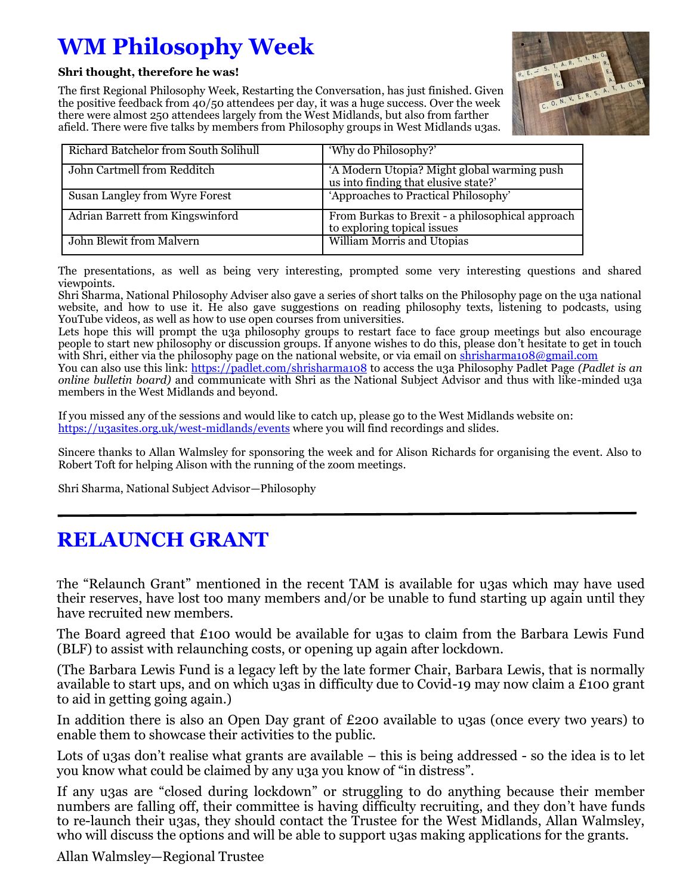# **WM Philosophy Week**

**Shri thought, therefore he was!**

The first Regional Philosophy Week, Restarting the Conversation, has just finished. Given the positive feedback from 40/50 attendees per day, it was a huge success. Over the week there were almost 250 attendees largely from the West Midlands, but also from farther afield. There were five talks by members from Philosophy groups in West Midlands u3as.



| Richard Batchelor from South Solihull | 'Why do Philosophy?'                                                                |
|---------------------------------------|-------------------------------------------------------------------------------------|
| John Cartmell from Redditch           | 'A Modern Utopia? Might global warming push<br>us into finding that elusive state?' |
| Susan Langley from Wyre Forest        | 'Approaches to Practical Philosophy'                                                |
| Adrian Barrett from Kingswinford      | From Burkas to Brexit - a philosophical approach<br>to exploring topical issues     |
| John Blewit from Malvern              | William Morris and Utopias                                                          |

The presentations, as well as being very interesting, prompted some very interesting questions and shared viewpoints.

Shri Sharma, National Philosophy Adviser also gave a series of short talks on the Philosophy page on the u3a national website, and how to use it. He also gave suggestions on reading philosophy texts, listening to podcasts, using YouTube videos, as well as how to use open courses from universities.

Lets hope this will prompt the u3a philosophy groups to restart face to face group meetings but also encourage people to start new philosophy or discussion groups. If anyone wishes to do this, please don't hesitate to get in touch with Shri, either via the philosophy page on the national website, or via email on [shrisharma108@gmail.com](mailto:shrisharma108@gmail.com)

You can also use this link: [https://padlet.com/shrisharma108](https://eur02.safelinks.protection.outlook.com/?url=https%3A%2F%2Fpadlet.com%2Fshrisharma108&data=04%7C01%7Callan.walmsley%40u3a.org.uk%7C45198a36301440bfd02908d976a1238c%7C8ba44ae7c27743f69ffd1eeac5a8c804%7C0%7C0%7C637671256723604336%7CUnknown%7CTWFpbGZsb3d8) to access the u3a Philosophy Padlet Page *(Padlet is an online bulletin board)* and communicate with Shri as the National Subject Advisor and thus with like-minded u3a members in the West Midlands and beyond.

If you missed any of the sessions and would like to catch up, please go to the West Midlands website on: [https://u3asites.org.uk/west](https://eur02.safelinks.protection.outlook.com/?url=https%3A%2F%2Fu3asites.org.uk%2Fwest-midlands%2Fevents&data=04%7C01%7Callan.walmsley%40u3a.org.uk%7C45198a36301440bfd02908d976a1238c%7C8ba44ae7c27743f69ffd1eeac5a8c804%7C0%7C0%7C637671256723614292%7CUnknown%)-midlands/events where you will find recordings and slides.

Sincere thanks to Allan Walmsley for sponsoring the week and for Alison Richards for organising the event. Also to Robert Toft for helping Alison with the running of the zoom meetings.

Shri Sharma, National Subject Advisor—Philosophy

## **RELAUNCH GRANT**

The "Relaunch Grant" mentioned in the recent TAM is available for u3as which may have used their reserves, have lost too many members and/or be unable to fund starting up again until they have recruited new members.

The Board agreed that £100 would be available for u3as to claim from the Barbara Lewis Fund (BLF) to assist with relaunching costs, or opening up again after lockdown.

(The Barbara Lewis Fund is a legacy left by the late former Chair, Barbara Lewis, that is normally available to start ups, and on which u3as in difficulty due to Covid-19 may now claim a £100 grant to aid in getting going again.)

In addition there is also an Open Day grant of £200 available to u3as (once every two years) to enable them to showcase their activities to the public.

Lots of u<sub>3</sub>as don't realise what grants are available – this is being addressed - so the idea is to let you know what could be claimed by any u3a you know of "in distress".

If any u3as are "closed during lockdown" or struggling to do anything because their member numbers are falling off, their committee is having difficulty recruiting, and they don't have funds to re-launch their u3as, they should contact the Trustee for the West Midlands, Allan Walmsley, who will discuss the options and will be able to support u3as making applications for the grants.

Allan Walmsley—Regional Trustee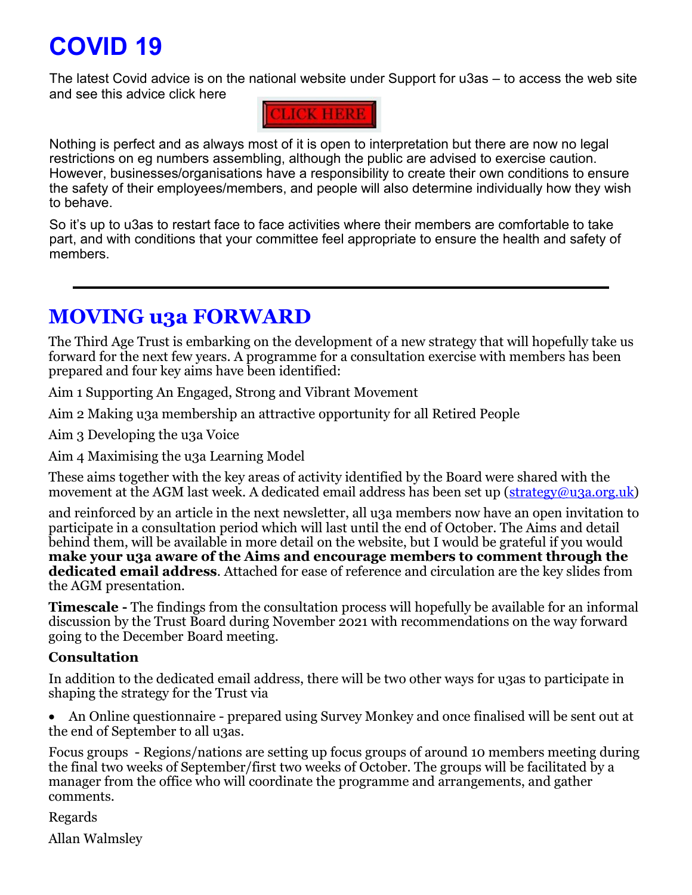# **COVID 19**

The latest Covid advice is on the national website under Support for u3as – to access the web site and see this advice click here



Nothing is perfect and as always most of it is open to interpretation but there are now no legal restrictions on eg numbers assembling, although the public are advised to exercise caution. However, businesses/organisations have a responsibility to create their own conditions to ensure the safety of their employees/members, and people will also determine individually how they wish to behave.

So it's up to u3as to restart face to face activities where their members are comfortable to take part, and with conditions that your committee feel appropriate to ensure the health and safety of members.

## **MOVING u3a FORWARD**

The Third Age Trust is embarking on the development of a new strategy that will hopefully take us forward for the next few years. A programme for a consultation exercise with members has been prepared and four key aims have been identified:

Aim 1 Supporting An Engaged, Strong and Vibrant Movement

Aim 2 Making u3a membership an attractive opportunity for all Retired People

Aim 3 Developing the u3a Voice

Aim 4 Maximising the u3a Learning Model

These aims together with the key areas of activity identified by the Board were shared with the movement at the AGM last week. A dedicated email address has been set up ([strategy@u3a.org.uk\)](mailto:strategy@u3a.org.uk)

and reinforced by an article in the next newsletter, all u3a members now have an open invitation to participate in a consultation period which will last until the end of October. The Aims and detail behind them, will be available in more detail on the website, but I would be grateful if you would **make your u3a aware of the Aims and encourage members to comment through the dedicated email address**. Attached for ease of reference and circulation are the key slides from the AGM presentation.

**Timescale -** The findings from the consultation process will hopefully be available for an informal discussion by the Trust Board during November 2021 with recommendations on the way forward going to the December Board meeting.

### **Consultation**

In addition to the dedicated email address, there will be two other ways for u3as to participate in shaping the strategy for the Trust via

• An Online questionnaire - prepared using Survey Monkey and once finalised will be sent out at the end of September to all u3as.

Focus groups - Regions/nations are setting up focus groups of around 10 members meeting during the final two weeks of September/first two weeks of October. The groups will be facilitated by a manager from the office who will coordinate the programme and arrangements, and gather comments.

Regards

Allan Walmsley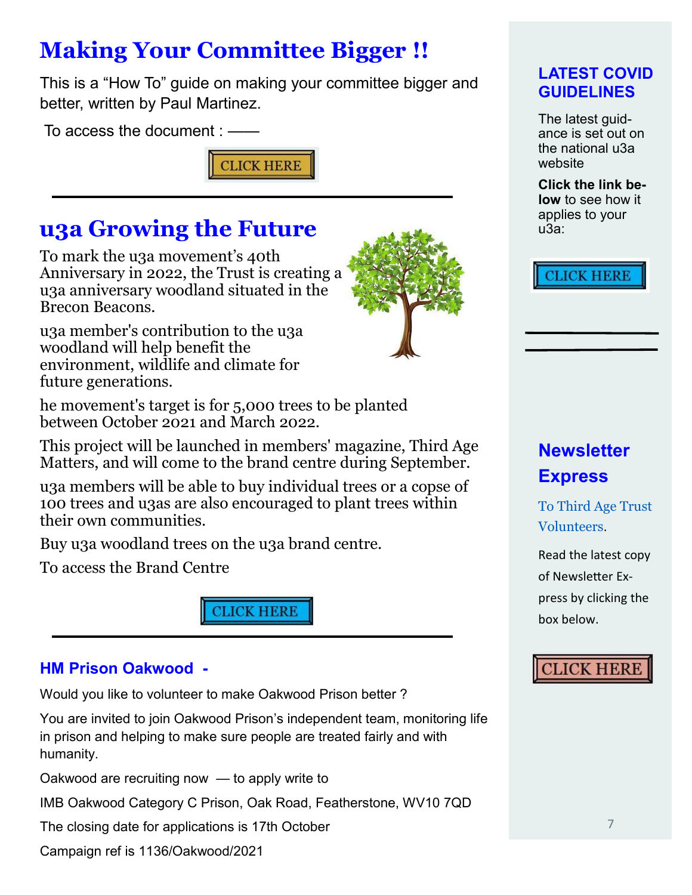# **Making Your Committee Bigger !!**

This is a "How To" guide on making your committee bigger and better, written by Paul Martinez.

To access the document : ——



## **u3a Growing the Future**

To mark the u3a movement's 40th Anniversary in 2022, the Trust is creating a u3a anniversary woodland situated in the Brecon Beacons.

u3a member's contribution to the u3a woodland will help benefit the environment, wildlife and climate for future generations.

he movement's target is for 5,000 trees to be planted between October 2021 and March 2022.

This project will be launched in members' magazine, Third Age Matters, and will come to the brand centre during September.

u3a members will be able to buy individual trees or a copse of 100 trees and u3as are also encouraged to plant trees within their own communities.

Buy u3a woodland trees on the u3a brand centre.

To access the Brand Centre



### **HM Prison Oakwood -**

Would you like to volunteer to make Oakwood Prison better ?

You are invited to join Oakwood Prison's independent team, monitoring life in prison and helping to make sure people are treated fairly and with humanity.

Oakwood are recruiting now — to apply write to

IMB Oakwood Category C Prison, Oak Road, Featherstone, WV10 7QD

The closing date for applications is 17th October

Campaign ref is 1136/Oakwood/2021



### **LATEST COVID GUIDELINES**

The latest quidance is set out on the national u3a website

**Click the link below** to see how it applies to your u3a:

## **CLICK HERE**

## **Newsletter Express**

To Third Age Trust Volunteers.

Read the latest copy of Newsletter Express by clicking the box below.

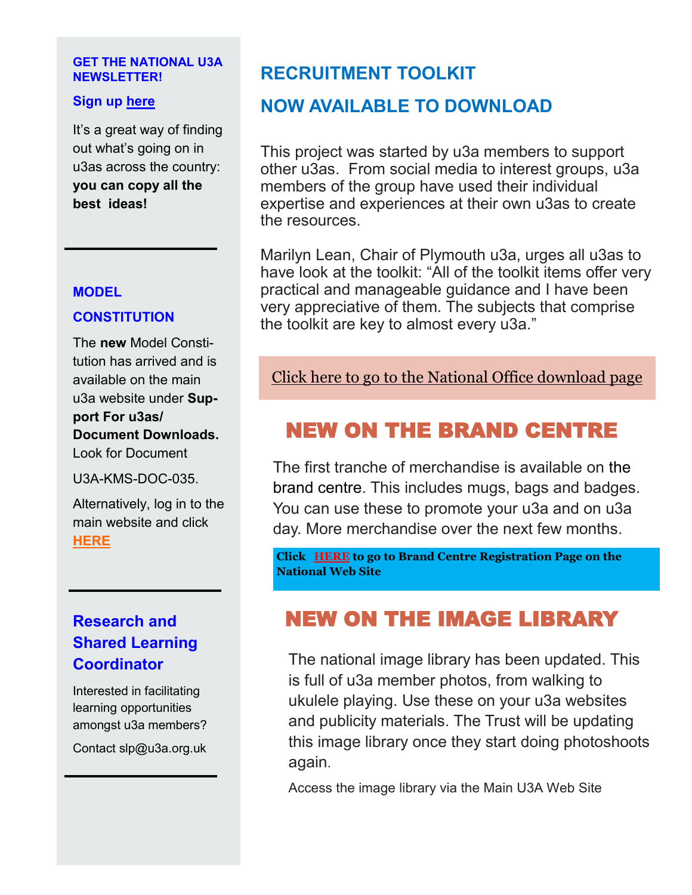#### **GET THE NATIONAL U3A NEWSLETTER!**

#### **Sign up [here](https://u3a.org.uk/newsletter)**

It's a great way of finding out what's going on in u3as across the country: **you can copy all the best ideas!** 

#### **MODEL**

### **CONSTITUTION**

The **new** Model Constitution has arrived and is available on the main u3a website under **Support For u3as/ Document Downloads.**  Look for Document

U3A-KMS-DOC-035.

Alternatively, log in to the main website and click **[HERE](https://www.u3a.org.uk/advice/document-downloads/document/u3a-kms-doc-035-model-constitution-england-and-wales)**

## **Research and Shared Learning Coordinator**

Interested in facilitating learning opportunities amongst u3a members?

Contact slp@u3a.org.uk

## **RECRUITMENT TOOLKIT**

## **NOW AVAILABLE TO DOWNLOAD**

This project was started by u3a members to support other u3as. From social media to interest groups, u3a members of the group have used their individual expertise and experiences at their own u3as to create the resources.

Marilyn Lean, Chair of Plymouth u3a, urges all u3as to have look at the toolkit: "All of the toolkit items offer very practical and manageable guidance and I have been very appreciative of them. The subjects that comprise the toolkit are key to almost every u3a."

[Click here to go to the National Office download page](https://www.u3a.org.uk/component/edocman/recruitment-toolkit)

## NEW ON THE BRAND CENTRE

The first tranche of merchandise is available on the brand centre. This includes mugs, bags and badges. You can use these to promote your u3a and on u3a day. More merchandise over the next few months.

**Click [HERE](https://u3abrand.org.uk/) to go to Brand Centre Registration Page on the National Web Sit[e](https://u3abrand.org.uk/auth/register)**

## NEW ON THE IMAGE LIBRARY

The national image library has been updated. This is full of u3a member photos, from walking to ukulele playing. Use these on your u3a websites and publicity materials. The Trust will be updating this image library once they start doing photoshoots again.

Access the image library via the Main U3A Web Site